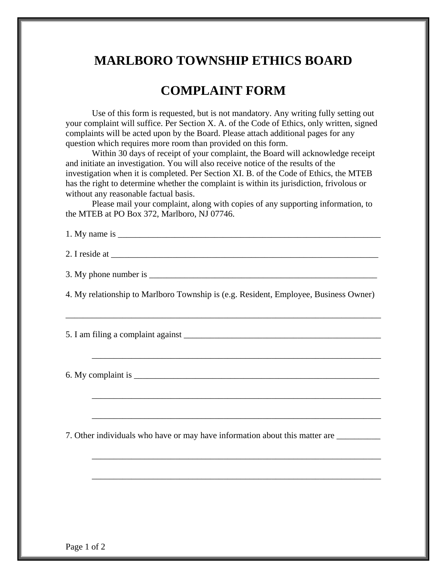## **MARLBORO TOWNSHIP ETHICS BOARD**

## **COMPLAINT FORM**

Use of this form is requested, but is not mandatory. Any writing fully setting out your complaint will suffice. Per Section X. A. of the Code of Ethics, only written, signed complaints will be acted upon by the Board. Please attach additional pages for any question which requires more room than provided on this form.

Within 30 days of receipt of your complaint, the Board will acknowledge receipt and initiate an investigation. You will also receive notice of the results of the investigation when it is completed. Per Section XI. B. of the Code of Ethics, the MTEB has the right to determine whether the complaint is within its jurisdiction, frivolous or without any reasonable factual basis.

Please mail your complaint, along with copies of any supporting information, to the MTEB at PO Box 372, Marlboro, NJ 07746.

| 1. My name is  |  |  |
|----------------|--|--|
|                |  |  |
| 2. I reside at |  |  |

3. My phone number is

4. My relationship to Marlboro Township is (e.g. Resident, Employee, Business Owner)

\_\_\_\_\_\_\_\_\_\_\_\_\_\_\_\_\_\_\_\_\_\_\_\_\_\_\_\_\_\_\_\_\_\_\_\_\_\_\_\_\_\_\_\_\_\_\_\_\_\_\_\_\_\_\_\_\_\_\_\_\_\_\_\_\_\_\_\_\_\_\_\_

\_\_\_\_\_\_\_\_\_\_\_\_\_\_\_\_\_\_\_\_\_\_\_\_\_\_\_\_\_\_\_\_\_\_\_\_\_\_\_\_\_\_\_\_\_\_\_\_\_\_\_\_\_\_\_\_\_\_\_\_\_\_\_\_\_\_

\_\_\_\_\_\_\_\_\_\_\_\_\_\_\_\_\_\_\_\_\_\_\_\_\_\_\_\_\_\_\_\_\_\_\_\_\_\_\_\_\_\_\_\_\_\_\_\_\_\_\_\_\_\_\_\_\_\_\_\_\_\_\_\_\_\_

 $\overline{\phantom{a}}$  ,  $\overline{\phantom{a}}$  ,  $\overline{\phantom{a}}$  ,  $\overline{\phantom{a}}$  ,  $\overline{\phantom{a}}$  ,  $\overline{\phantom{a}}$  ,  $\overline{\phantom{a}}$  ,  $\overline{\phantom{a}}$  ,  $\overline{\phantom{a}}$  ,  $\overline{\phantom{a}}$  ,  $\overline{\phantom{a}}$  ,  $\overline{\phantom{a}}$  ,  $\overline{\phantom{a}}$  ,  $\overline{\phantom{a}}$  ,  $\overline{\phantom{a}}$  ,  $\overline{\phantom{a}}$ 

\_\_\_\_\_\_\_\_\_\_\_\_\_\_\_\_\_\_\_\_\_\_\_\_\_\_\_\_\_\_\_\_\_\_\_\_\_\_\_\_\_\_\_\_\_\_\_\_\_\_\_\_\_\_\_\_\_\_\_\_\_\_\_\_\_\_

\_\_\_\_\_\_\_\_\_\_\_\_\_\_\_\_\_\_\_\_\_\_\_\_\_\_\_\_\_\_\_\_\_\_\_\_\_\_\_\_\_\_\_\_\_\_\_\_\_\_\_\_\_\_\_\_\_\_\_\_\_\_\_\_\_\_

5. I am filing a complaint against \_\_\_\_\_\_\_\_\_\_\_\_\_\_\_\_\_\_\_\_\_\_\_\_\_\_\_\_\_\_\_\_\_\_\_\_\_\_\_\_\_\_\_\_\_

6. My complaint is  $\overline{\phantom{a}}$ 

7. Other individuals who have or may have information about this matter are \_\_\_\_\_\_\_\_\_\_